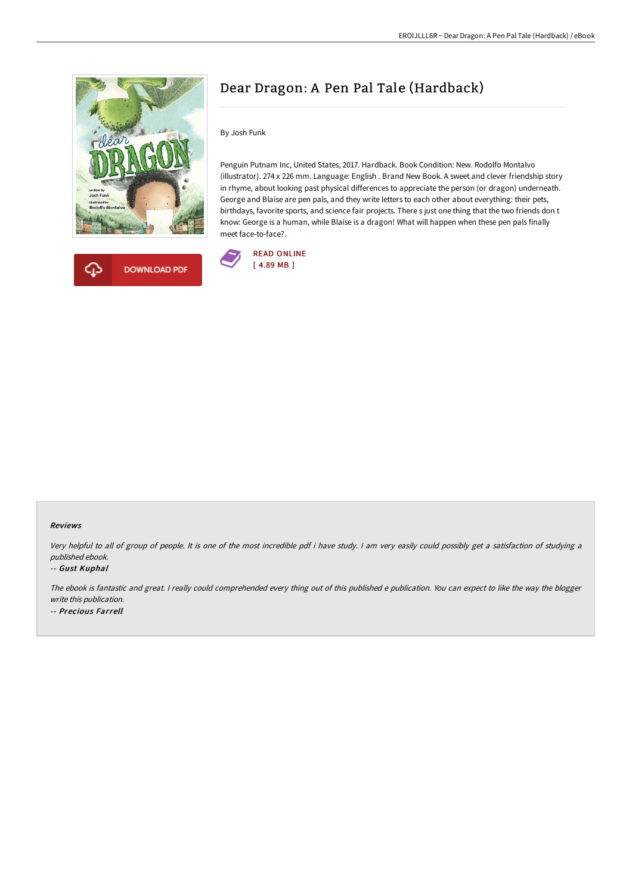



# Dear Dragon: A Pen Pal Tale (Hardback)

By Josh Funk

Penguin Putnam Inc, United States, 2017. Hardback. Book Condition: New. Rodolfo Montalvo (illustrator). 274 x 226 mm. Language: English . Brand New Book. A sweet and clever friendship story in rhyme, about looking past physical differences to appreciate the person (or dragon) underneath. George and Blaise are pen pals, and they write letters to each other about everything: their pets, birthdays, favorite sports, and science fair projects. There s just one thing that the two friends don t know: George is a human, while Blaise is a dragon! What will happen when these pen pals finally meet face-to-face?.



## Reviews

Very helpful to all of group of people. It is one of the most incredible pdf i have study. <sup>I</sup> am very easily could possibly get <sup>a</sup> satisfaction of studying <sup>a</sup> published ebook.

## -- Gust Kuphal

The ebook is fantastic and great. <sup>I</sup> really could comprehended every thing out of this published <sup>e</sup> publication. You can expect to like the way the blogger write this publication. -- Precious Farrell